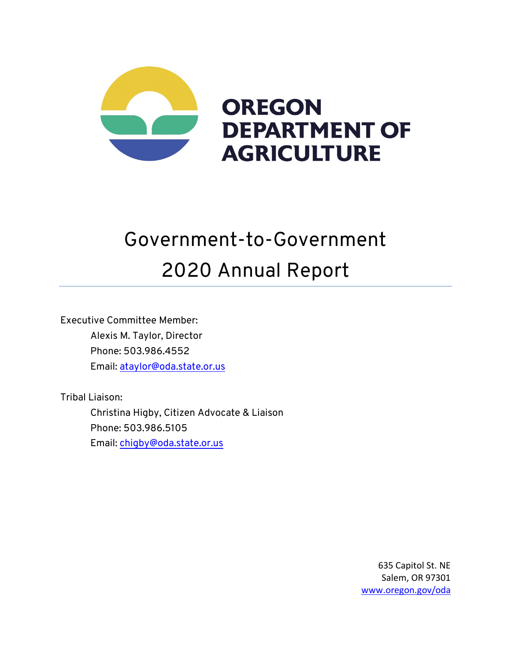

# Government-to-Government 2020 Annual Report

Executive Committee Member: Alexis M. Taylor, Director Phone: 503.986.4552 Email: ataylor@oda.state.or.us

Tribal Liaison:

Christina Higby, Citizen Advocate & Liaison Phone: 503.986.5105 Email: chigby@oda.state.or.us

> 635 Capitol St. NE Salem, OR 97301 www.oregon.gov/oda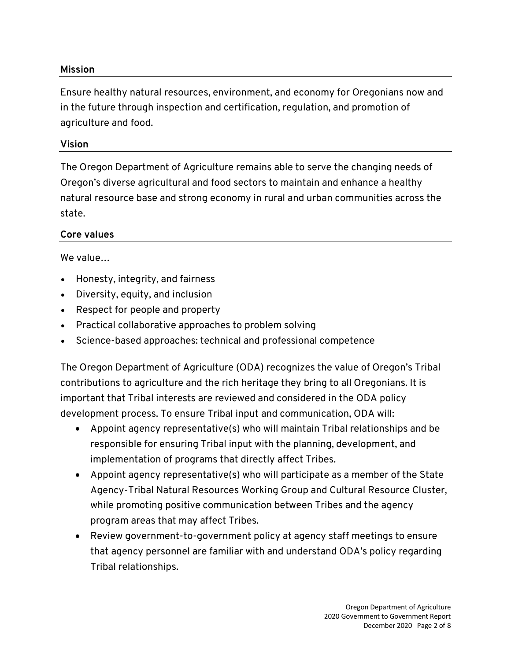## **Mission**

Ensure healthy natural resources, environment, and economy for Oregonians now and in the future through inspection and certification, regulation, and promotion of agriculture and food.

## **Vision**

The Oregon Department of Agriculture remains able to serve the changing needs of Oregon's diverse agricultural and food sectors to maintain and enhance a healthy natural resource base and strong economy in rural and urban communities across the state.

## **Core values**

#### We value…

- Honesty, integrity, and fairness
- Diversity, equity, and inclusion
- Respect for people and property
- Practical collaborative approaches to problem solving
- Science-based approaches: technical and professional competence

The Oregon Department of Agriculture (ODA) recognizes the value of Oregon's Tribal contributions to agriculture and the rich heritage they bring to all Oregonians. It is important that Tribal interests are reviewed and considered in the ODA policy development process. To ensure Tribal input and communication, ODA will:

- Appoint agency representative(s) who will maintain Tribal relationships and be responsible for ensuring Tribal input with the planning, development, and implementation of programs that directly affect Tribes.
- Appoint agency representative(s) who will participate as a member of the State Agency-Tribal Natural Resources Working Group and Cultural Resource Cluster, while promoting positive communication between Tribes and the agency program areas that may affect Tribes.
- Review government-to-government policy at agency staff meetings to ensure that agency personnel are familiar with and understand ODA's policy regarding Tribal relationships.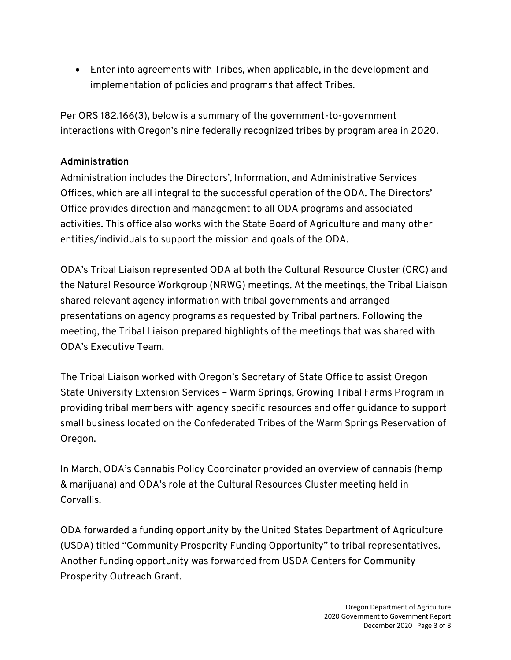• Enter into agreements with Tribes, when applicable, in the development and implementation of policies and programs that affect Tribes.

Per ORS 182.166(3), below is a summary of the government-to-government interactions with Oregon's nine federally recognized tribes by program area in 2020.

## **Administration**

Administration includes the Directors', Information, and Administrative Services Offices, which are all integral to the successful operation of the ODA. The Directors' Office provides direction and management to all ODA programs and associated activities. This office also works with the State Board of Agriculture and many other entities/individuals to support the mission and goals of the ODA.

ODA's Tribal Liaison represented ODA at both the Cultural Resource Cluster (CRC) and the Natural Resource Workgroup (NRWG) meetings. At the meetings, the Tribal Liaison shared relevant agency information with tribal governments and arranged presentations on agency programs as requested by Tribal partners. Following the meeting, the Tribal Liaison prepared highlights of the meetings that was shared with ODA's Executive Team.

The Tribal Liaison worked with Oregon's Secretary of State Office to assist Oregon State University Extension Services – Warm Springs, Growing Tribal Farms Program in providing tribal members with agency specific resources and offer guidance to support small business located on the Confederated Tribes of the Warm Springs Reservation of Oregon.

In March, ODA's Cannabis Policy Coordinator provided an overview of cannabis (hemp & marijuana) and ODA's role at the Cultural Resources Cluster meeting held in Corvallis.

ODA forwarded a funding opportunity by the United States Department of Agriculture (USDA) titled "Community Prosperity Funding Opportunity" to tribal representatives. Another funding opportunity was forwarded from USDA Centers for Community Prosperity Outreach Grant.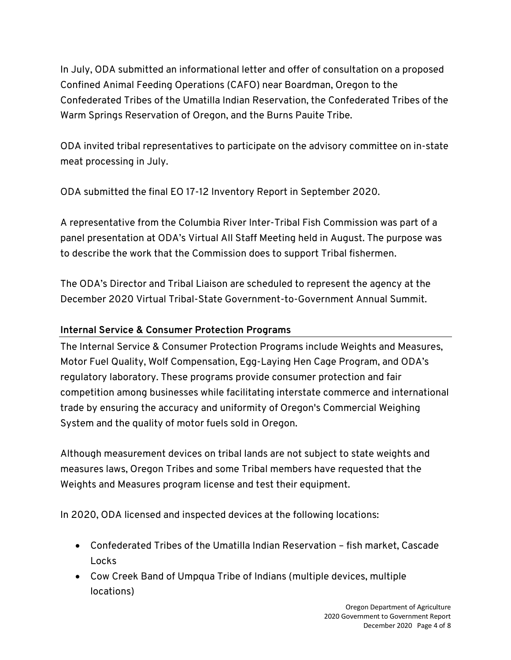In July, ODA submitted an informational letter and offer of consultation on a proposed Confined Animal Feeding Operations (CAFO) near Boardman, Oregon to the Confederated Tribes of the Umatilla Indian Reservation, the Confederated Tribes of the Warm Springs Reservation of Oregon, and the Burns Pauite Tribe.

ODA invited tribal representatives to participate on the advisory committee on in-state meat processing in July.

ODA submitted the final EO 17-12 Inventory Report in September 2020.

A representative from the Columbia River Inter-Tribal Fish Commission was part of a panel presentation at ODA's Virtual All Staff Meeting held in August. The purpose was to describe the work that the Commission does to support Tribal fishermen.

The ODA's Director and Tribal Liaison are scheduled to represent the agency at the December 2020 Virtual Tribal-State Government-to-Government Annual Summit.

# **Internal Service & Consumer Protection Programs**

The Internal Service & Consumer Protection Programs include Weights and Measures, Motor Fuel Quality, Wolf Compensation, Egg-Laying Hen Cage Program, and ODA's regulatory laboratory. These programs provide consumer protection and fair competition among businesses while facilitating interstate commerce and international trade by ensuring the accuracy and uniformity of Oregon's Commercial Weighing System and the quality of motor fuels sold in Oregon.

Although measurement devices on tribal lands are not subject to state weights and measures laws, Oregon Tribes and some Tribal members have requested that the Weights and Measures program license and test their equipment.

In 2020, ODA licensed and inspected devices at the following locations:

- Confederated Tribes of the Umatilla Indian Reservation fish market, Cascade Locks
- Cow Creek Band of Umpqua Tribe of Indians (multiple devices, multiple locations)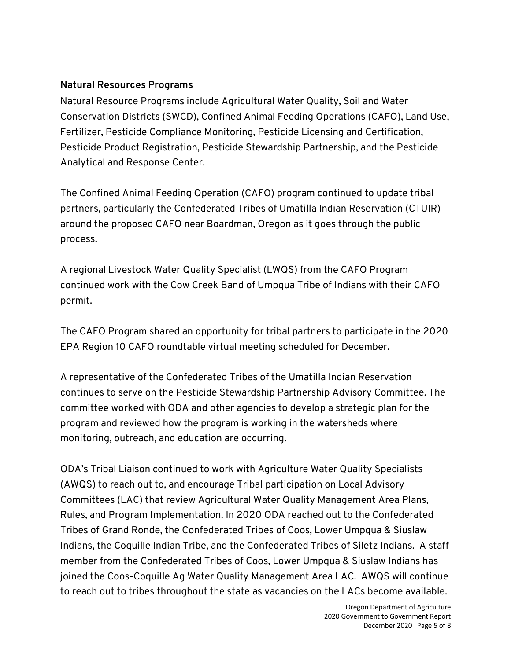## **Natural Resources Programs**

Natural Resource Programs include Agricultural Water Quality, Soil and Water Conservation Districts (SWCD), Confined Animal Feeding Operations (CAFO), Land Use, Fertilizer, Pesticide Compliance Monitoring, Pesticide Licensing and Certification, Pesticide Product Registration, Pesticide Stewardship Partnership, and the Pesticide Analytical and Response Center.

The Confined Animal Feeding Operation (CAFO) program continued to update tribal partners, particularly the Confederated Tribes of Umatilla Indian Reservation (CTUIR) around the proposed CAFO near Boardman, Oregon as it goes through the public process.

A regional Livestock Water Quality Specialist (LWQS) from the CAFO Program continued work with the Cow Creek Band of Umpqua Tribe of Indians with their CAFO permit.

The CAFO Program shared an opportunity for tribal partners to participate in the 2020 EPA Region 10 CAFO roundtable virtual meeting scheduled for December.

A representative of the Confederated Tribes of the Umatilla Indian Reservation continues to serve on the Pesticide Stewardship Partnership Advisory Committee. The committee worked with ODA and other agencies to develop a strategic plan for the program and reviewed how the program is working in the watersheds where monitoring, outreach, and education are occurring.

ODA's Tribal Liaison continued to work with Agriculture Water Quality Specialists (AWQS) to reach out to, and encourage Tribal participation on Local Advisory Committees (LAC) that review Agricultural Water Quality Management Area Plans, Rules, and Program Implementation. In 2020 ODA reached out to the Confederated Tribes of Grand Ronde, the Confederated Tribes of Coos, Lower Umpqua & Siuslaw Indians, the Coquille Indian Tribe, and the Confederated Tribes of Siletz Indians. A staff member from the Confederated Tribes of Coos, Lower Umpqua & Siuslaw Indians has joined the Coos-Coquille Ag Water Quality Management Area LAC. AWQS will continue to reach out to tribes throughout the state as vacancies on the LACs become available.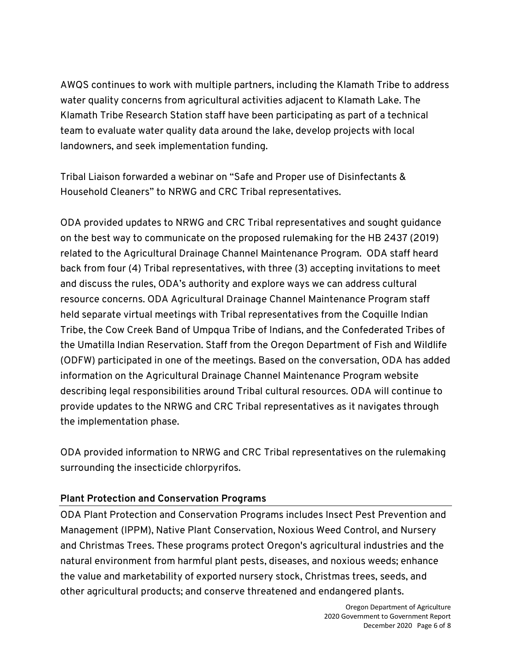AWQS continues to work with multiple partners, including the Klamath Tribe to address water quality concerns from agricultural activities adjacent to Klamath Lake. The Klamath Tribe Research Station staff have been participating as part of a technical team to evaluate water quality data around the lake, develop projects with local landowners, and seek implementation funding.

Tribal Liaison forwarded a webinar on "Safe and Proper use of Disinfectants & Household Cleaners" to NRWG and CRC Tribal representatives.

ODA provided updates to NRWG and CRC Tribal representatives and sought guidance on the best way to communicate on the proposed rulemaking for the HB 2437 (2019) related to the Agricultural Drainage Channel Maintenance Program. ODA staff heard back from four (4) Tribal representatives, with three (3) accepting invitations to meet and discuss the rules, ODA's authority and explore ways we can address cultural resource concerns. ODA Agricultural Drainage Channel Maintenance Program staff held separate virtual meetings with Tribal representatives from the Coquille Indian Tribe, the Cow Creek Band of Umpqua Tribe of Indians, and the Confederated Tribes of the Umatilla Indian Reservation. Staff from the Oregon Department of Fish and Wildlife (ODFW) participated in one of the meetings. Based on the conversation, ODA has added information on the Agricultural Drainage Channel Maintenance Program website describing legal responsibilities around Tribal cultural resources. ODA will continue to provide updates to the NRWG and CRC Tribal representatives as it navigates through the implementation phase.

ODA provided information to NRWG and CRC Tribal representatives on the rulemaking surrounding the insecticide chlorpyrifos.

## **Plant Protection and Conservation Programs**

ODA Plant Protection and Conservation Programs includes Insect Pest Prevention and Management (IPPM), Native Plant Conservation, Noxious Weed Control, and Nursery and Christmas Trees. These programs protect Oregon's agricultural industries and the natural environment from harmful plant pests, diseases, and noxious weeds; enhance the value and marketability of exported nursery stock, Christmas trees, seeds, and other agricultural products; and conserve threatened and endangered plants.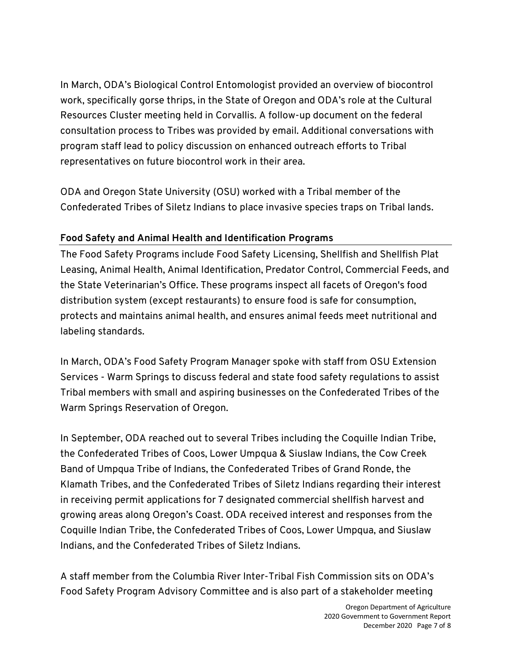In March, ODA's Biological Control Entomologist provided an overview of biocontrol work, specifically gorse thrips, in the State of Oregon and ODA's role at the Cultural Resources Cluster meeting held in Corvallis. A follow-up document on the federal consultation process to Tribes was provided by email. Additional conversations with program staff lead to policy discussion on enhanced outreach efforts to Tribal representatives on future biocontrol work in their area.

ODA and Oregon State University (OSU) worked with a Tribal member of the Confederated Tribes of Siletz Indians to place invasive species traps on Tribal lands.

# **Food Safety and Animal Health and Identification Programs**

The Food Safety Programs include Food Safety Licensing, Shellfish and Shellfish Plat Leasing, Animal Health, Animal Identification, Predator Control, Commercial Feeds, and the State Veterinarian's Office. These programs inspect all facets of Oregon's food distribution system (except restaurants) to ensure food is safe for consumption, protects and maintains animal health, and ensures animal feeds meet nutritional and labeling standards.

In March, ODA's Food Safety Program Manager spoke with staff from OSU Extension Services - Warm Springs to discuss federal and state food safety regulations to assist Tribal members with small and aspiring businesses on the Confederated Tribes of the Warm Springs Reservation of Oregon.

In September, ODA reached out to several Tribes including the Coquille Indian Tribe, the Confederated Tribes of Coos, Lower Umpqua & Siuslaw Indians, the Cow Creek Band of Umpqua Tribe of Indians, the Confederated Tribes of Grand Ronde, the Klamath Tribes, and the Confederated Tribes of Siletz Indians regarding their interest in receiving permit applications for 7 designated commercial shellfish harvest and growing areas along Oregon's Coast. ODA received interest and responses from the Coquille Indian Tribe, the Confederated Tribes of Coos, Lower Umpqua, and Siuslaw Indians, and the Confederated Tribes of Siletz Indians.

A staff member from the Columbia River Inter-Tribal Fish Commission sits on ODA's Food Safety Program Advisory Committee and is also part of a stakeholder meeting